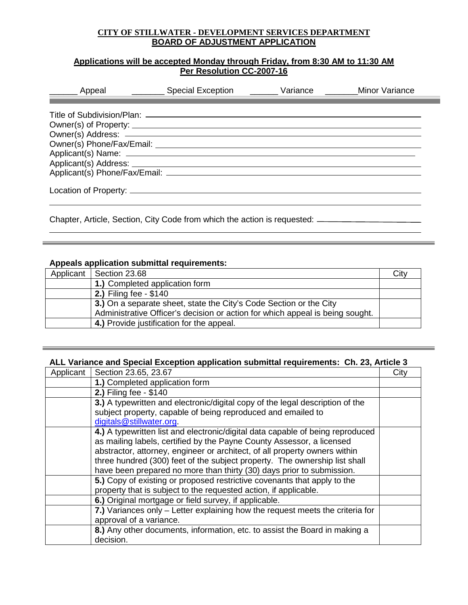## **CITY OF STILLWATER - DEVELOPMENT SERVICES DEPARTMENT BOARD OF ADJUSTMENT APPLICATION**

# **Applications will be accepted Monday through Friday, from 8:30 AM to 11:30 AM Per Resolution CC-2007-16**

| ________ Appeal                                                         | Special Exception <u>Community Service</u> | Variance | <b>Minor Variance</b> |
|-------------------------------------------------------------------------|--------------------------------------------|----------|-----------------------|
| Owner(s) Phone/Fax/Email: National Assembly Phone (S) Phone (Fax/Email: |                                            |          |                       |
|                                                                         |                                            |          |                       |

Chapter, Article, Section, City Code from which the action is requested:

### **Appeals application submittal requirements:**

| Applicant   Section 23.68                                                     | City |
|-------------------------------------------------------------------------------|------|
| 1.) Completed application form                                                |      |
| <b>2.)</b> Filing fee - \$140                                                 |      |
| 3.) On a separate sheet, state the City's Code Section or the City            |      |
| Administrative Officer's decision or action for which appeal is being sought. |      |
| 4.) Provide justification for the appeal.                                     |      |

<u> 1989 - Andrea Andrea Andrea Andrea Andrea Andrea Andrea Andrea Andrea Andrea Andrea Andrea Andrea Andrea Andr</u>

## **ALL Variance and Special Exception application submittal requirements: Ch. 23, Article 3**

| Applicant | Section 23.65, 23.67                                                           | City |
|-----------|--------------------------------------------------------------------------------|------|
|           | 1.) Completed application form                                                 |      |
|           | 2.) Filing fee - \$140                                                         |      |
|           | 3.) A typewritten and electronic/digital copy of the legal description of the  |      |
|           | subject property, capable of being reproduced and emailed to                   |      |
|           | digitals@stillwater.org.                                                       |      |
|           | 4.) A typewritten list and electronic/digital data capable of being reproduced |      |
|           | as mailing labels, certified by the Payne County Assessor, a licensed          |      |
|           | abstractor, attorney, engineer or architect, of all property owners within     |      |
|           | three hundred (300) feet of the subject property. The ownership list shall     |      |
|           | have been prepared no more than thirty (30) days prior to submission.          |      |
|           | 5.) Copy of existing or proposed restrictive covenants that apply to the       |      |
|           | property that is subject to the requested action, if applicable.               |      |
|           | 6.) Original mortgage or field survey, if applicable.                          |      |
|           | 7.) Variances only – Letter explaining how the request meets the criteria for  |      |
|           | approval of a variance.                                                        |      |
|           | 8.) Any other documents, information, etc. to assist the Board in making a     |      |
|           | decision.                                                                      |      |